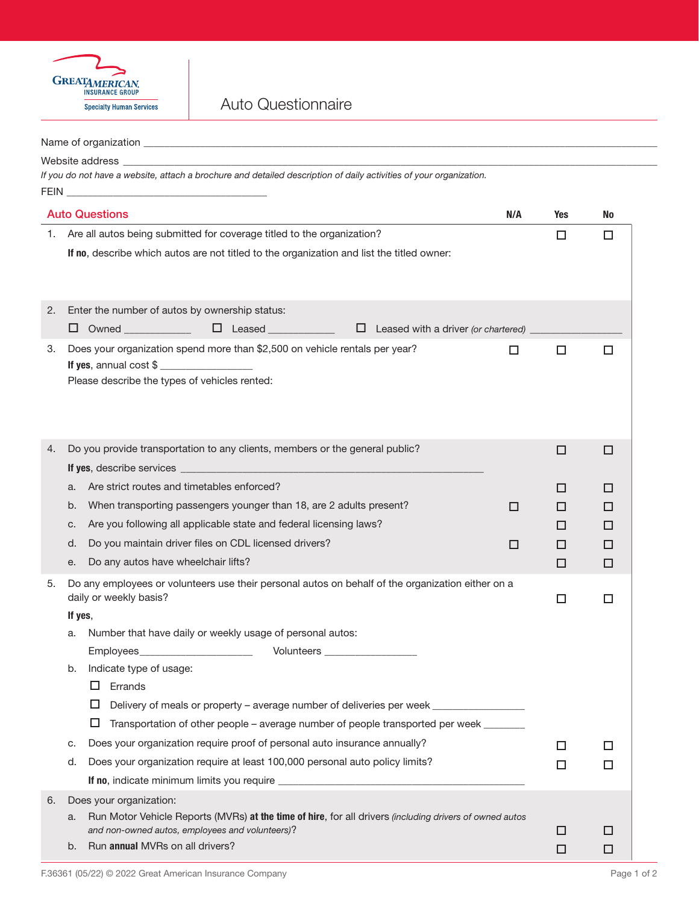

Auto Questionnaire

|    | Name of organization with a state of the control of the control of the control of the control of the control of                                                                                                                                        |     |        |  |  |  |  |  |  |
|----|--------------------------------------------------------------------------------------------------------------------------------------------------------------------------------------------------------------------------------------------------------|-----|--------|--|--|--|--|--|--|
|    | Website address and the control of the control of the control of the control of the control of the control of the control of the control of the control of the control of the control of the control of the control of the con                         |     |        |  |  |  |  |  |  |
|    | If you do not have a website, attach a brochure and detailed description of daily activities of your organization.<br><b>FEIN <i>CONTRACTE CONTRACTE CONTRACTE CONTRACTE CONTRACTE CONTRACTE CONTRACTE CONTRACTE CONTRACTE CONTRACTE CONTRACTE</i></b> |     |        |  |  |  |  |  |  |
|    | <b>Auto Questions</b><br>N/A                                                                                                                                                                                                                           | Yes | No     |  |  |  |  |  |  |
|    | 1. Are all autos being submitted for coverage titled to the organization?                                                                                                                                                                              | □   | $\Box$ |  |  |  |  |  |  |
|    | If no, describe which autos are not titled to the organization and list the titled owner:                                                                                                                                                              |     |        |  |  |  |  |  |  |
| 2. | Enter the number of autos by ownership status:                                                                                                                                                                                                         |     |        |  |  |  |  |  |  |
|    | □ Owned _____________  □ Leased _____________  □ Leased with a driver (or chartered) _                                                                                                                                                                 |     |        |  |  |  |  |  |  |
| 3. | Does your organization spend more than \$2,500 on vehicle rentals per year?<br>□<br>Please describe the types of vehicles rented:                                                                                                                      | □   | □      |  |  |  |  |  |  |
| 4. | Do you provide transportation to any clients, members or the general public?                                                                                                                                                                           | □   | □      |  |  |  |  |  |  |
|    |                                                                                                                                                                                                                                                        |     |        |  |  |  |  |  |  |
|    | Are strict routes and timetables enforced?<br>a.                                                                                                                                                                                                       | □   | ப      |  |  |  |  |  |  |
|    | When transporting passengers younger than 18, are 2 adults present?<br>b.<br>□                                                                                                                                                                         | □   | □      |  |  |  |  |  |  |
|    | Are you following all applicable state and federal licensing laws?<br>c.                                                                                                                                                                               | □   | □      |  |  |  |  |  |  |
|    | Do you maintain driver files on CDL licensed drivers?<br>d.<br>□                                                                                                                                                                                       | □   | □      |  |  |  |  |  |  |
|    | Do any autos have wheelchair lifts?<br>е.                                                                                                                                                                                                              | □   | □      |  |  |  |  |  |  |
| 5. | Do any employees or volunteers use their personal autos on behalf of the organization either on a<br>daily or weekly basis?<br>If yes,<br>Number that have daily or weekly usage of personal autos:<br>a.                                              | □   | □      |  |  |  |  |  |  |
|    | Employees_<br>Volunteers ____________________                                                                                                                                                                                                          |     |        |  |  |  |  |  |  |
|    | Indicate type of usage:<br>b.<br>$\Box$ Errands<br>□<br>Delivery of meals or property – average number of deliveries per week _______________                                                                                                          |     |        |  |  |  |  |  |  |
|    | □<br>Transportation of other people – average number of people transported per week ______                                                                                                                                                             |     |        |  |  |  |  |  |  |
|    | Does your organization require proof of personal auto insurance annually?<br>c.                                                                                                                                                                        | □   | □      |  |  |  |  |  |  |
|    | Does your organization require at least 100,000 personal auto policy limits?<br>d.                                                                                                                                                                     | □   | □      |  |  |  |  |  |  |
|    |                                                                                                                                                                                                                                                        |     |        |  |  |  |  |  |  |
| 6. | Does your organization:                                                                                                                                                                                                                                |     |        |  |  |  |  |  |  |
|    | Run Motor Vehicle Reports (MVRs) at the time of hire, for all drivers (including drivers of owned autos<br>a.                                                                                                                                          |     |        |  |  |  |  |  |  |
|    | and non-owned autos, employees and volunteers)?                                                                                                                                                                                                        | ப   | □      |  |  |  |  |  |  |
|    | Run annual MVRs on all drivers?<br>b.                                                                                                                                                                                                                  | □   | □      |  |  |  |  |  |  |